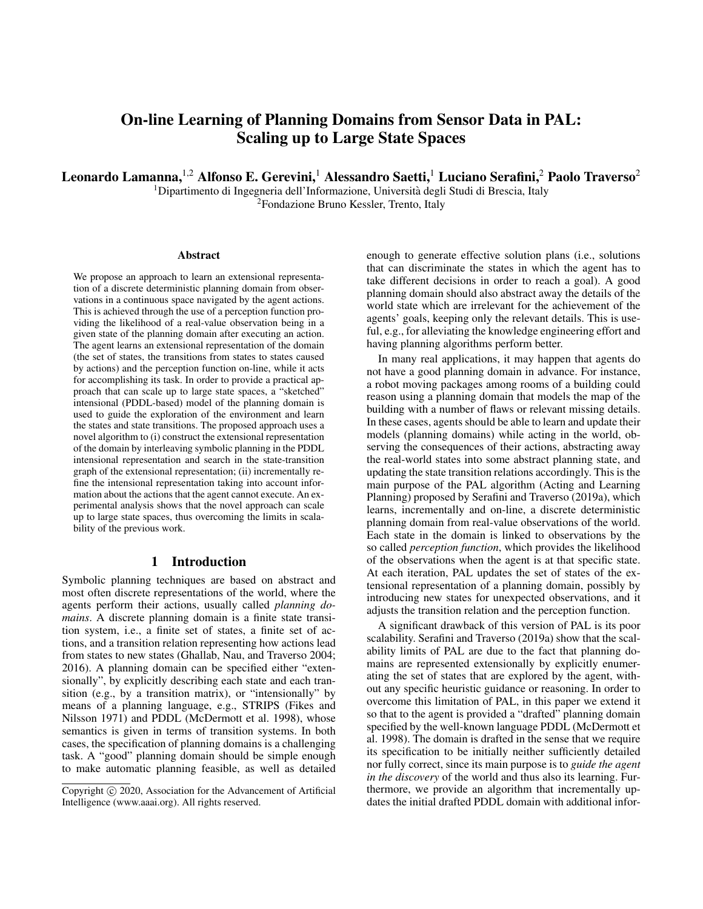# On-line Learning of Planning Domains from Sensor Data in PAL: Scaling up to Large State Spaces

Leonardo Lamanna, <sup>1,2</sup> Alfonso E. Gerevini,<sup>1</sup> Alessandro Saetti,<sup>1</sup> Luciano Serafini,<sup>2</sup> Paolo Traverso<sup>2</sup>

<sup>1</sup>Dipartimento di Ingegneria dell'Informazione, Università degli Studi di Brescia, Italy <sup>2</sup>Fondazione Bruno Kessler, Trento, Italy

#### **Abstract**

We propose an approach to learn an extensional representation of a discrete deterministic planning domain from observations in a continuous space navigated by the agent actions. This is achieved through the use of a perception function providing the likelihood of a real-value observation being in a given state of the planning domain after executing an action. The agent learns an extensional representation of the domain (the set of states, the transitions from states to states caused by actions) and the perception function on-line, while it acts for accomplishing its task. In order to provide a practical approach that can scale up to large state spaces, a "sketched" intensional (PDDL-based) model of the planning domain is used to guide the exploration of the environment and learn the states and state transitions. The proposed approach uses a novel algorithm to (i) construct the extensional representation of the domain by interleaving symbolic planning in the PDDL intensional representation and search in the state-transition graph of the extensional representation; (ii) incrementally refine the intensional representation taking into account information about the actions that the agent cannot execute. An experimental analysis shows that the novel approach can scale up to large state spaces, thus overcoming the limits in scalability of the previous work.

# 1 Introduction

Symbolic planning techniques are based on abstract and most often discrete representations of the world, where the agents perform their actions, usually called *planning domains*. A discrete planning domain is a finite state transition system, i.e., a finite set of states, a finite set of actions, and a transition relation representing how actions lead from states to new states (Ghallab, Nau, and Traverso 2004; 2016). A planning domain can be specified either "extensionally", by explicitly describing each state and each transition (e.g., by a transition matrix), or "intensionally" by means of a planning language, e.g., STRIPS (Fikes and Nilsson 1971) and PDDL (McDermott et al. 1998), whose semantics is given in terms of transition systems. In both cases, the specification of planning domains is a challenging task. A "good" planning domain should be simple enough to make automatic planning feasible, as well as detailed enough to generate effective solution plans (i.e., solutions that can discriminate the states in which the agent has to take different decisions in order to reach a goal). A good planning domain should also abstract away the details of the world state which are irrelevant for the achievement of the agents' goals, keeping only the relevant details. This is useful, e.g., for alleviating the knowledge engineering effort and having planning algorithms perform better.

In many real applications, it may happen that agents do not have a good planning domain in advance. For instance, a robot moving packages among rooms of a building could reason using a planning domain that models the map of the building with a number of flaws or relevant missing details. In these cases, agents should be able to learn and update their models (planning domains) while acting in the world, observing the consequences of their actions, abstracting away the real-world states into some abstract planning state, and updating the state transition relations accordingly. This is the main purpose of the PAL algorithm (Acting and Learning Planning) proposed by Serafini and Traverso (2019a), which learns, incrementally and on-line, a discrete deterministic planning domain from real-value observations of the world. Each state in the domain is linked to observations by the so called *perception function*, which provides the likelihood of the observations when the agent is at that specific state. At each iteration, PAL updates the set of states of the extensional representation of a planning domain, possibly by introducing new states for unexpected observations, and it adjusts the transition relation and the perception function.

A significant drawback of this version of PAL is its poor scalability. Serafini and Traverso (2019a) show that the scalability limits of PAL are due to the fact that planning domains are represented extensionally by explicitly enumerating the set of states that are explored by the agent, without any specific heuristic guidance or reasoning. In order to overcome this limitation of PAL, in this paper we extend it so that to the agent is provided a "drafted" planning domain specified by the well-known language PDDL (McDermott et al. 1998). The domain is drafted in the sense that we require its specification to be initially neither sufficiently detailed nor fully correct, since its main purpose is to *guide the agent in the discovery* of the world and thus also its learning. Furthermore, we provide an algorithm that incrementally updates the initial drafted PDDL domain with additional infor-

Copyright (c) 2020, Association for the Advancement of Artificial Intelligence (www.aaai.org). All rights reserved.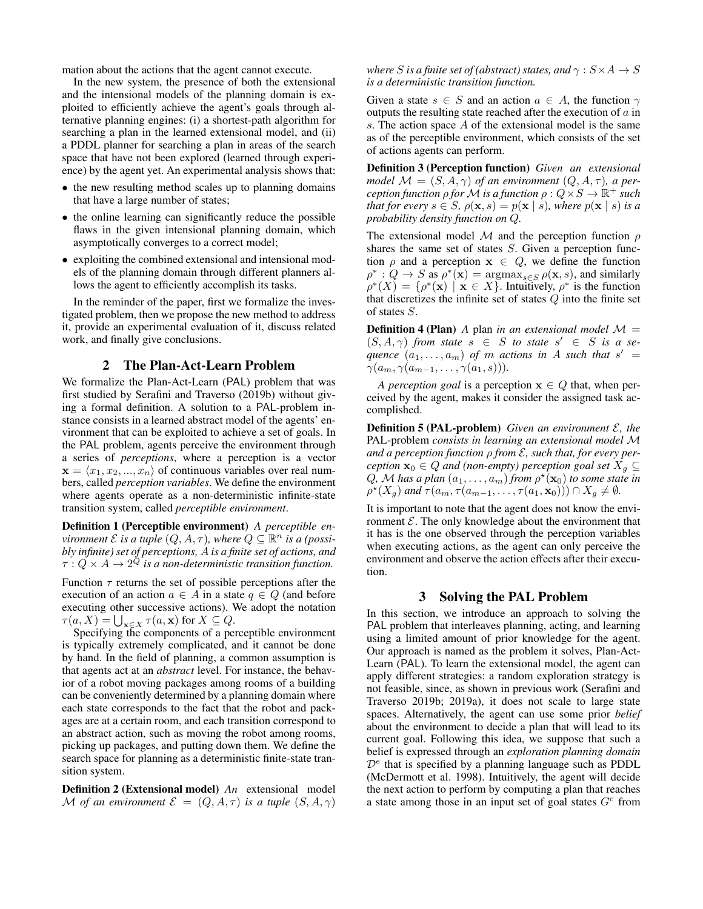mation about the actions that the agent cannot execute.

In the new system, the presence of both the extensional and the intensional models of the planning domain is exploited to efficiently achieve the agent's goals through alternative planning engines: (i) a shortest-path algorithm for searching a plan in the learned extensional model, and (ii) a PDDL planner for searching a plan in areas of the search space that have not been explored (learned through experience) by the agent yet. An experimental analysis shows that:

- the new resulting method scales up to planning domains that have a large number of states;
- the online learning can significantly reduce the possible flaws in the given intensional planning domain, which asymptotically converges to a correct model;
- exploiting the combined extensional and intensional models of the planning domain through different planners allows the agent to efficiently accomplish its tasks.

In the reminder of the paper, first we formalize the investigated problem, then we propose the new method to address it, provide an experimental evaluation of it, discuss related work, and finally give conclusions.

# 2 The Plan-Act-Learn Problem

We formalize the Plan-Act-Learn (PAL) problem that was first studied by Serafini and Traverso (2019b) without giving a formal definition. A solution to a PAL-problem instance consists in a learned abstract model of the agents' environment that can be exploited to achieve a set of goals. In the PAL problem, agents perceive the environment through a series of *perceptions*, where a perception is a vector  $\mathbf{x} = \langle x_1, x_2, ..., x_n \rangle$  of continuous variables over real numbers, called *perception variables*. We define the environment where agents operate as a non-deterministic infinite-state transition system, called *perceptible environment*.

Definition 1 (Perceptible environment) *A perceptible environment*  $\mathcal E$  *is a tuple*  $(Q, A, \tau)$ *, where*  $Q \subseteq \mathbb R^n$  *is a (possibly infinite) set of perceptions,* A *is a finite set of actions, and*  $\tau : Q \times A \to 2^Q$  is a non-deterministic transition function.

Function  $\tau$  returns the set of possible perceptions after the execution of an action  $a \in A$  in a state  $q \in Q$  (and before executing other successive actions). We adopt the notation  $\tau(a, X) = \bigcup_{\mathbf{x} \in X} \tau(a, \mathbf{x})$  for  $X \subseteq Q$ .

Specifying the components of a perceptible environment is typically extremely complicated, and it cannot be done by hand. In the field of planning, a common assumption is that agents act at an *abstract* level. For instance, the behavior of a robot moving packages among rooms of a building can be conveniently determined by a planning domain where each state corresponds to the fact that the robot and packages are at a certain room, and each transition correspond to an abstract action, such as moving the robot among rooms, picking up packages, and putting down them. We define the search space for planning as a deterministic finite-state transition system.

Definition 2 (Extensional model) *An* extensional model M of an environment  $\mathcal{E} = (Q, A, \tau)$  *is a tuple*  $(S, A, \gamma)$ 

*where S is a finite set of (abstract) states, and*  $\gamma$  :  $S \times A \rightarrow S$ *is a deterministic transition function.*

Given a state  $s \in S$  and an action  $a \in A$ , the function  $\gamma$ outputs the resulting state reached after the execution of  $a$  in s. The action space  $A$  of the extensional model is the same as of the perceptible environment, which consists of the set of actions agents can perform.

Definition 3 (Perception function) *Given an extensional model*  $\mathcal{M} = (S, A, \gamma)$  *of an environment*  $(Q, A, \tau)$ *, a per* $c$ eption function  $\rho$  for  ${\cal M}$  is a function  $\rho: Q \tilde{\times} S \to \mathbb{R}^+$  such *that for every*  $s \in S$ *,*  $\rho(\mathbf{x}, s) = p(\mathbf{x} | s)$ *, where*  $p(\mathbf{x} | s)$  *is a probability density function on* Q*.*

The extensional model M and the perception function  $\rho$ shares the same set of states S. Given a perception function  $\rho$  and a perception  $x \in Q$ , we define the function  $\rho^*$ :  $Q \to S$  as  $\rho^*(\mathbf{x}) = \operatorname{argmax}_{s \in S} \rho(\mathbf{x}, s)$ , and similarly  $\rho^*(X) = \{\rho^*(\mathbf{x}) \mid \mathbf{x} \in X\}.$  Intuitively,  $\rho^*$  is the function that discretizes the infinite set of states  $Q$  into the finite set of states S.

**Definition 4 (Plan)** A plan *in an extensional model*  $\mathcal{M} =$  $(S, A, \gamma)$  *from state*  $s \in S$  *to state*  $s' \in S$  *is a se-* $\mathbf{q}$ *uence*  $(a_1, \ldots, a_m)$  of m *actions in* A such that  $s' =$  $\gamma(a_m, \gamma(a_{m-1}, \ldots, \gamma(a_1, s))).$ 

*A perception goal* is a perception  $x \in Q$  that, when perceived by the agent, makes it consider the assigned task accomplished.

Definition 5 (PAL-problem) *Given an environment* E*, the* PAL-problem *consists in learning an extensional model* M *and a perception function* ρ *from* E*, such that, for every perception*  $\mathbf{x}_0 \in Q$  *and (non-empty) perception goal set*  $X_g \subseteq$  $Q$ , M has a plan  $(a_1, \ldots, a_m)$  from  $\rho^{\star}(\mathbf{x}_0)$  to some state in  $\rho^{\star}(X_g)$  and  $\tau(a_m, \tau(a_{m-1}, \ldots, \tau(a_1, \mathbf{x}_0))) \cap X_g \neq \emptyset$ .

It is important to note that the agent does not know the environment  $\mathcal E$ . The only knowledge about the environment that it has is the one observed through the perception variables when executing actions, as the agent can only perceive the environment and observe the action effects after their execution.

# 3 Solving the PAL Problem

In this section, we introduce an approach to solving the PAL problem that interleaves planning, acting, and learning using a limited amount of prior knowledge for the agent. Our approach is named as the problem it solves, Plan-Act-Learn (PAL). To learn the extensional model, the agent can apply different strategies: a random exploration strategy is not feasible, since, as shown in previous work (Serafini and Traverso 2019b; 2019a), it does not scale to large state spaces. Alternatively, the agent can use some prior *belief* about the environment to decide a plan that will lead to its current goal. Following this idea, we suppose that such a belief is expressed through an *exploration planning domain*  $\mathcal{D}^e$  that is specified by a planning language such as PDDL (McDermott et al. 1998). Intuitively, the agent will decide the next action to perform by computing a plan that reaches a state among those in an input set of goal states  $G^e$  from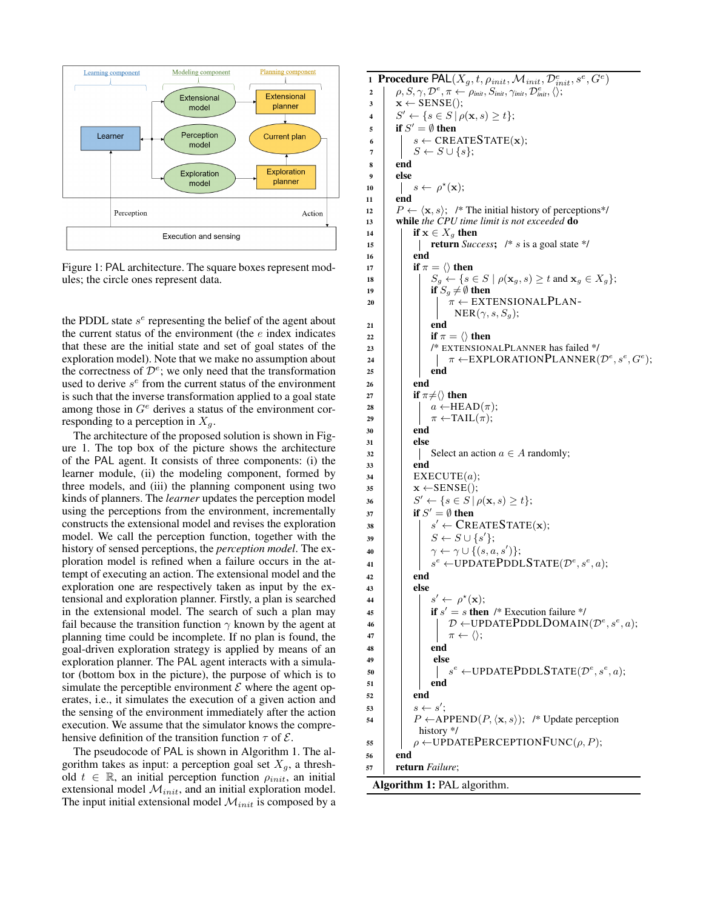

Figure 1: PAL architecture. The square boxes represent modules; the circle ones represent data.

the PDDL state  $s<sup>e</sup>$  representing the belief of the agent about the current status of the environment (the  $e$  index indicates that these are the initial state and set of goal states of the exploration model). Note that we make no assumption about the correctness of  $\mathcal{D}^e$ ; we only need that the transformation used to derive  $s^e$  from the current status of the environment is such that the inverse transformation applied to a goal state among those in  $G^e$  derives a status of the environment corresponding to a perception in  $X_q$ .

The architecture of the proposed solution is shown in Figure 1. The top box of the picture shows the architecture of the PAL agent. It consists of three components: (i) the learner module, (ii) the modeling component, formed by three models, and (iii) the planning component using two kinds of planners. The *learner* updates the perception model using the perceptions from the environment, incrementally constructs the extensional model and revises the exploration model. We call the perception function, together with the history of sensed perceptions, the *perception model*. The exploration model is refined when a failure occurs in the attempt of executing an action. The extensional model and the exploration one are respectively taken as input by the extensional and exploration planner. Firstly, a plan is searched in the extensional model. The search of such a plan may fail because the transition function  $\gamma$  known by the agent at planning time could be incomplete. If no plan is found, the goal-driven exploration strategy is applied by means of an exploration planner. The PAL agent interacts with a simulator (bottom box in the picture), the purpose of which is to simulate the perceptible environment  $\mathcal E$  where the agent operates, i.e., it simulates the execution of a given action and the sensing of the environment immediately after the action execution. We assume that the simulator knows the comprehensive definition of the transition function  $\tau$  of  $\mathcal{E}$ .

The pseudocode of PAL is shown in Algorithm 1. The algorithm takes as input: a perception goal set  $X_g$ , a threshold  $t \in \mathbb{R}$ , an initial perception function  $\rho_{init}$ , an initial extensional model  $\mathcal{M}_{init}$ , and an initial exploration model. The input initial extensional model  $\mathcal{M}_{init}$  is composed by a

```
1 Procedure PAL(X_g,t,\rho_{init},\mathcal{M}_{init},\mathcal{D}_{init}^e,s^e,G^e)p^e \leftarrow \rho, S, \gamma, \mathcal{D}^e, \pi \leftarrow \rho_{\textit{init}}, S_{\textit{init}}, \gamma_{\textit{init}}, \mathcal{D}^e_{\textit{init}}, \langle \rangle;\mathbf{x} \leftarrow \text{SENSE}();
 4 S' \leftarrow \{s \in S \mid \rho(\mathbf{x}, s) \ge t\};\mathfrak{g} if S' = \emptyset then
 6 s \leftarrow \text{CREATESTATE}(\mathbf{x});<br>
S \leftarrow S \cup \{s\};S \leftarrow S \cup \{s\};8 end
9 else
10 s \leftarrow \rho^*(\mathbf{x});11 end
12 P \leftarrow \langle \mathbf{x}, s \rangle; /* The initial history of perceptions*/
13 while the CPU time limit is not exceeded do
14 if x \in X_q then
15 return Success; /* s is a goal state */
16 end
17 if \pi = \langle \rangle then
18 \vert \vert \vert S_g \leftarrow \{s \in S \mid \rho(\mathbf{x}_g, s) \geq t \text{ and } \mathbf{x}_g \in X_g\};19 if S_g \neq \emptyset then
20 \vert \vert \pi \leftarrow EXTENSIONALPLAN-
                        NER(\gamma, s, S_g);21 end
22 if \pi = \langle \rangle then
23 | | | \frac{1}{2} EXTENSIONALPLANNER has failed */
24 | | | \pi \leftarrow \text{EXPLORATIONPLANNER}(\mathcal{D}^e, s^e, G^e);25 | | end
26 end
27 if \pi \neq \langle \rangle then
28 a \leftarrow \text{HEAD}(\pi):
29 \pi \leftarrow \text{TAIL}(\pi);30 end
31 else
32 Select an action a \in A randomly;
33 end
34 EXECUTE(a):
35 \mathbf{x} \leftarrow SENSE();
36 \vert \quad \vert \quad S' \leftarrow \{ s \in S \, | \, \rho(\mathbf{x},s) \geq t \};37 if S' = \emptyset then
38 \vert \vert \vert ss' \leftarrow CREATESTATE(x);
39 \begin{array}{|c|c|c|c|}\n\hline\n & S & \leftarrow S \cup \{s'\};\n\end{array}40 \vert \vert \quad \vert \quad \gamma \leftarrow \gamma \cup \{(s,a,s')\};41 s
                    e \leftarrow \text{UPDATEPDDLSTATE}(\mathcal{D}^e, s^e, a);42 end
43 else
44 | \vert | s\prime \leftarrow \rho^*(\mathbf{x});45 if s' = s then /* Execution failure */
46 | | | D ←UPDATEPDDLDOMAIN(\mathcal{D}^e, s^e, a);
47 | | \pi \leftarrow \langle \rangle;48 end
49 | | | else
50 \vert \vert \vert se \leftarrow \text{UPDATEPDDLSTATE}(\mathcal{D}^e, s^e, a);51 | | | end
52 end
53 s \leftarrow s';
54 \vert P \leftarrow APPEND(P, \langle \mathbf{x}, s \rangle); /* Update perception
               history */
55 \rho \leftarrow \text{UPDATEPERCEPTIONFUNC}(\rho, P);56 end
57 return Failure;
 Algorithm 1: PAL algorithm.
```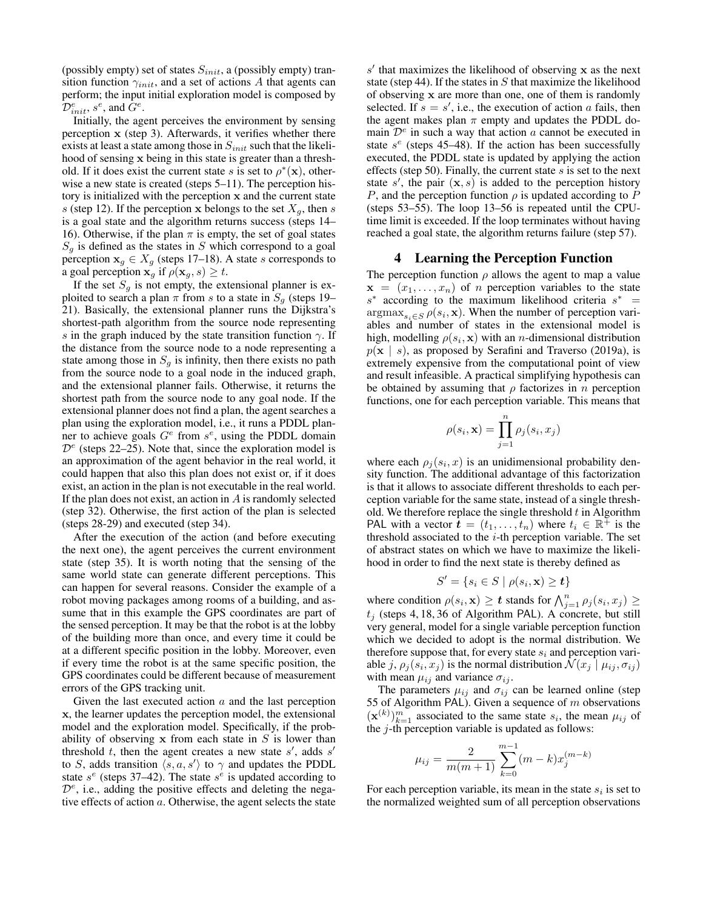(possibly empty) set of states  $S_{init}$ , a (possibly empty) transition function  $\gamma_{init}$ , and a set of actions A that agents can perform; the input initial exploration model is composed by  $\overline{\mathcal{D}_{init}^{e}}$ ,  $s^{e}$ , and  $\overline{G}^{e}$ .

Initially, the agent perceives the environment by sensing perception x (step 3). Afterwards, it verifies whether there exists at least a state among those in  $S_{init}$  such that the likelihood of sensing x being in this state is greater than a threshold. If it does exist the current state s is set to  $\rho^*(\mathbf{x})$ , otherwise a new state is created (steps 5–11). The perception history is initialized with the perception x and the current state s (step 12). If the perception x belongs to the set  $X_q$ , then s is a goal state and the algorithm returns success (steps 14– 16). Otherwise, if the plan  $\pi$  is empty, the set of goal states  $S<sub>g</sub>$  is defined as the states in S which correspond to a goal perception  $x_g \in X_g$  (steps 17–18). A state s corresponds to a goal perception  $\mathbf{x}_g$  if  $\rho(\mathbf{x}_g, s) \geq t$ .

If the set  $S_q$  is not empty, the extensional planner is exploited to search a plan  $\pi$  from s to a state in  $S<sub>q</sub>$  (steps 19– 21). Basically, the extensional planner runs the Dijkstra's shortest-path algorithm from the source node representing s in the graph induced by the state transition function  $\gamma$ . If the distance from the source node to a node representing a state among those in  $S_q$  is infinity, then there exists no path from the source node to a goal node in the induced graph, and the extensional planner fails. Otherwise, it returns the shortest path from the source node to any goal node. If the extensional planner does not find a plan, the agent searches a plan using the exploration model, i.e., it runs a PDDL planner to achieve goals  $G^e$  from  $s^e$ , using the PDDL domain  $\mathcal{D}^e$  (steps 22–25). Note that, since the exploration model is an approximation of the agent behavior in the real world, it could happen that also this plan does not exist or, if it does exist, an action in the plan is not executable in the real world. If the plan does not exist, an action in  $A$  is randomly selected (step 32). Otherwise, the first action of the plan is selected (steps 28-29) and executed (step 34).

After the execution of the action (and before executing the next one), the agent perceives the current environment state (step 35). It is worth noting that the sensing of the same world state can generate different perceptions. This can happen for several reasons. Consider the example of a robot moving packages among rooms of a building, and assume that in this example the GPS coordinates are part of the sensed perception. It may be that the robot is at the lobby of the building more than once, and every time it could be at a different specific position in the lobby. Moreover, even if every time the robot is at the same specific position, the GPS coordinates could be different because of measurement errors of the GPS tracking unit.

Given the last executed action  $a$  and the last perception x, the learner updates the perception model, the extensional model and the exploration model. Specifically, if the probability of observing  $x$  from each state in  $S$  is lower than threshold  $t$ , then the agent creates a new state  $s'$ , adds  $s'$ to S, adds transition  $\langle s, a, s' \rangle$  to  $\gamma$  and updates the PDDL state  $s^e$  (steps 37–42). The state  $s^e$  is updated according to  $\mathcal{D}^e$ , i.e., adding the positive effects and deleting the negative effects of action  $a$ . Otherwise, the agent selects the state

 $s'$  that maximizes the likelihood of observing x as the next state (step 44). If the states in  $S$  that maximize the likelihood of observing x are more than one, one of them is randomly selected. If  $s = s'$ , i.e., the execution of action a fails, then the agent makes plan  $\pi$  empty and updates the PDDL domain  $\mathcal{D}^e$  in such a way that action a cannot be executed in state  $s^e$  (steps 45–48). If the action has been successfully executed, the PDDL state is updated by applying the action effects (step 50). Finally, the current state  $s$  is set to the next state  $s'$ , the pair  $(x, s)$  is added to the perception history P, and the perception function  $\rho$  is updated according to P (steps 53–55). The loop 13–56 is repeated until the CPUtime limit is exceeded. If the loop terminates without having reached a goal state, the algorithm returns failure (step 57).

## 4 Learning the Perception Function

The perception function  $\rho$  allows the agent to map a value  $x = (x_1, \ldots, x_n)$  of *n* perception variables to the state  $s^*$  according to the maximum likelihood criteria  $s^*$  =  $\arg \max_{s_i \in S} \rho(s_i, \mathbf{x})$ . When the number of perception variables and number of states in the extensional model is high, modelling  $\rho(s_i, \mathbf{x})$  with an *n*-dimensional distribution  $p(x \mid s)$ , as proposed by Serafini and Traverso (2019a), is extremely expensive from the computational point of view and result infeasible. A practical simplifying hypothesis can be obtained by assuming that  $\rho$  factorizes in n perception functions, one for each perception variable. This means that

$$
\rho(s_i, \mathbf{x}) = \prod_{j=1}^n \rho_j(s_i, x_j)
$$

where each  $\rho_j(s_i, x)$  is an unidimensional probability density function. The additional advantage of this factorization is that it allows to associate different thresholds to each perception variable for the same state, instead of a single threshold. We therefore replace the single threshold  $t$  in Algorithm PAL with a vector  $\mathbf{t} = (t_1, \ldots, t_n)$  where  $t_i \in \mathbb{R}^+$  is the threshold associated to the  $i$ -th perception variable. The set of abstract states on which we have to maximize the likelihood in order to find the next state is thereby defined as

$$
S' = \{ s_i \in S \mid \rho(s_i, \mathbf{x}) \geq t \}
$$

where condition  $\rho(s_i, \mathbf{x}) \geq t$  stands for  $\bigwedge_{j=1}^n \rho_j(s_i, x_j) \geq$  $t_i$  (steps 4, 18, 36 of Algorithm PAL). A concrete, but still very general, model for a single variable perception function which we decided to adopt is the normal distribution. We therefore suppose that, for every state  $s_i$  and perception variable j,  $\rho_j(s_i, x_j)$  is the normal distribution  $\mathcal{N}(x_j \mid \mu_{ij}, \sigma_{ij})$ with mean  $\mu_{ij}$  and variance  $\sigma_{ij}$ .

The parameters  $\mu_{ij}$  and  $\sigma_{ij}$  can be learned online (step 55 of Algorithm PAL). Given a sequence of  $m$  observations  $(\mathbf{x}^{(k)})_{k=1}^m$  associated to the same state  $s_i$ , the mean  $\mu_{ij}$  of the  $j$ -th perception variable is updated as follows:

$$
\mu_{ij} = \frac{2}{m(m+1)} \sum_{k=0}^{m-1} (m-k) x_j^{(m-k)}
$$

For each perception variable, its mean in the state  $s_i$  is set to the normalized weighted sum of all perception observations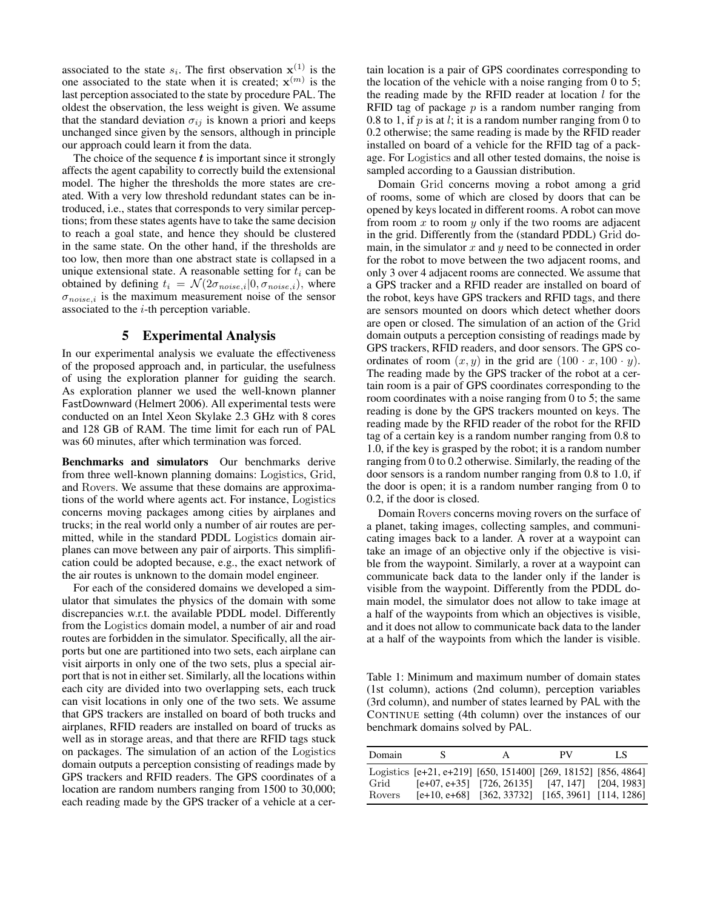associated to the state  $s_i$ . The first observation  $\mathbf{x}^{(1)}$  is the one associated to the state when it is created;  $\mathbf{x}^{(m)}$  is the last perception associated to the state by procedure PAL. The oldest the observation, the less weight is given. We assume that the standard deviation  $\sigma_{ij}$  is known a priori and keeps unchanged since given by the sensors, although in principle our approach could learn it from the data.

The choice of the sequence  $t$  is important since it strongly affects the agent capability to correctly build the extensional model. The higher the thresholds the more states are created. With a very low threshold redundant states can be introduced, i.e., states that corresponds to very similar perceptions; from these states agents have to take the same decision to reach a goal state, and hence they should be clustered in the same state. On the other hand, if the thresholds are too low, then more than one abstract state is collapsed in a unique extensional state. A reasonable setting for  $t_i$  can be obtained by defining  $t_i = \mathcal{N}(2\sigma_{noise,i}|0, \sigma_{noise,i})$ , where  $\sigma_{noise,i}$  is the maximum measurement noise of the sensor associated to the  $i$ -th perception variable.

## 5 Experimental Analysis

In our experimental analysis we evaluate the effectiveness of the proposed approach and, in particular, the usefulness of using the exploration planner for guiding the search. As exploration planner we used the well-known planner FastDownward (Helmert 2006). All experimental tests were conducted on an Intel Xeon Skylake 2.3 GHz with 8 cores and 128 GB of RAM. The time limit for each run of PAL was 60 minutes, after which termination was forced.

Benchmarks and simulators Our benchmarks derive from three well-known planning domains: Logistics, Grid, and Rovers. We assume that these domains are approximations of the world where agents act. For instance, Logistics concerns moving packages among cities by airplanes and trucks; in the real world only a number of air routes are permitted, while in the standard PDDL Logistics domain airplanes can move between any pair of airports. This simplification could be adopted because, e.g., the exact network of the air routes is unknown to the domain model engineer.

For each of the considered domains we developed a simulator that simulates the physics of the domain with some discrepancies w.r.t. the available PDDL model. Differently from the Logistics domain model, a number of air and road routes are forbidden in the simulator. Specifically, all the airports but one are partitioned into two sets, each airplane can visit airports in only one of the two sets, plus a special airport that is not in either set. Similarly, all the locations within each city are divided into two overlapping sets, each truck can visit locations in only one of the two sets. We assume that GPS trackers are installed on board of both trucks and airplanes, RFID readers are installed on board of trucks as well as in storage areas, and that there are RFID tags stuck on packages. The simulation of an action of the Logistics domain outputs a perception consisting of readings made by GPS trackers and RFID readers. The GPS coordinates of a location are random numbers ranging from 1500 to 30,000; each reading made by the GPS tracker of a vehicle at a cer-

tain location is a pair of GPS coordinates corresponding to the location of the vehicle with a noise ranging from 0 to 5; the reading made by the RFID reader at location  $l$  for the RFID tag of package  $p$  is a random number ranging from 0.8 to 1, if  $p$  is at  $l$ ; it is a random number ranging from 0 to 0.2 otherwise; the same reading is made by the RFID reader installed on board of a vehicle for the RFID tag of a package. For Logistics and all other tested domains, the noise is sampled according to a Gaussian distribution.

Domain Grid concerns moving a robot among a grid of rooms, some of which are closed by doors that can be opened by keys located in different rooms. A robot can move from room  $x$  to room  $y$  only if the two rooms are adjacent in the grid. Differently from the (standard PDDL) Grid domain, in the simulator  $x$  and  $y$  need to be connected in order for the robot to move between the two adjacent rooms, and only 3 over 4 adjacent rooms are connected. We assume that a GPS tracker and a RFID reader are installed on board of the robot, keys have GPS trackers and RFID tags, and there are sensors mounted on doors which detect whether doors are open or closed. The simulation of an action of the Grid domain outputs a perception consisting of readings made by GPS trackers, RFID readers, and door sensors. The GPS coordinates of room  $(x, y)$  in the grid are  $(100 \cdot x, 100 \cdot y)$ . The reading made by the GPS tracker of the robot at a certain room is a pair of GPS coordinates corresponding to the room coordinates with a noise ranging from 0 to 5; the same reading is done by the GPS trackers mounted on keys. The reading made by the RFID reader of the robot for the RFID tag of a certain key is a random number ranging from 0.8 to 1.0, if the key is grasped by the robot; it is a random number ranging from 0 to 0.2 otherwise. Similarly, the reading of the door sensors is a random number ranging from 0.8 to 1.0, if the door is open; it is a random number ranging from 0 to 0.2, if the door is closed.

Domain Rovers concerns moving rovers on the surface of a planet, taking images, collecting samples, and communicating images back to a lander. A rover at a waypoint can take an image of an objective only if the objective is visible from the waypoint. Similarly, a rover at a waypoint can communicate back data to the lander only if the lander is visible from the waypoint. Differently from the PDDL domain model, the simulator does not allow to take image at a half of the waypoints from which an objectives is visible, and it does not allow to communicate back data to the lander at a half of the waypoints from which the lander is visible.

Table 1: Minimum and maximum number of domain states (1st column), actions (2nd column), perception variables (3rd column), and number of states learned by PAL with the CONTINUE setting (4th column) over the instances of our benchmark domains solved by PAL.

| Domain         | S | A                                                                                                                                                                          | PV. | LS |
|----------------|---|----------------------------------------------------------------------------------------------------------------------------------------------------------------------------|-----|----|
| Grid<br>Rovers |   | Logistics [e+21, e+219] [650, 151400] [269, 18152] [856, 4864]<br>$[e+07, e+35]$ [726, 26135] [47, 147] [204, 1983]<br>$[e+10, e+68]$ [362, 33732] [165, 3961] [114, 1286] |     |    |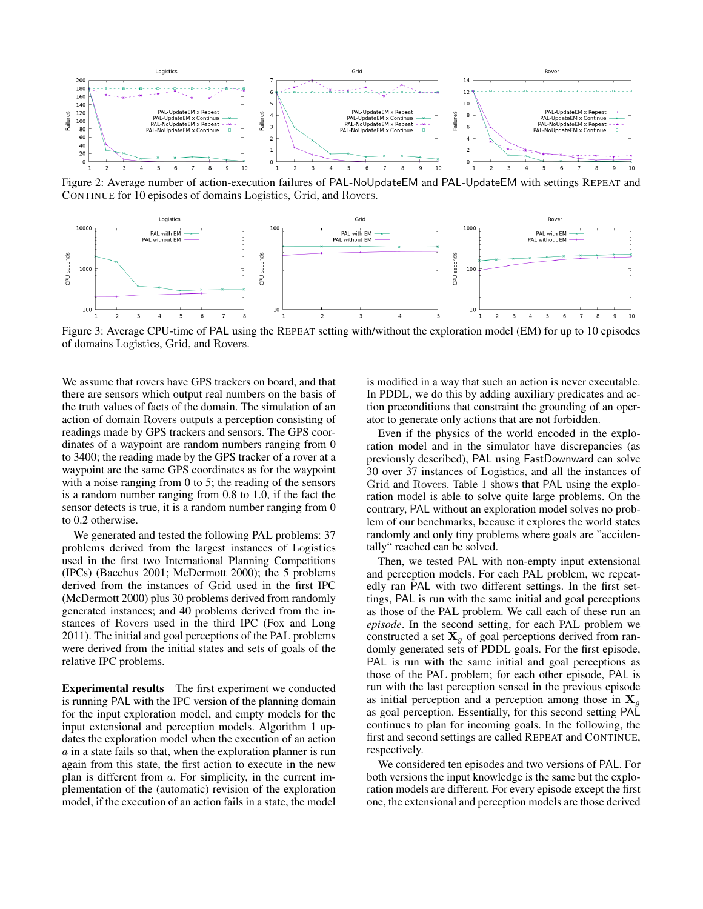

Figure 2: Average number of action-execution failures of PAL-NoUpdateEM and PAL-UpdateEM with settings REPEAT and CONTINUE for 10 episodes of domains Logistics, Grid, and Rovers.



Figure 3: Average CPU-time of PAL using the REPEAT setting with/without the exploration model (EM) for up to 10 episodes of domains Logistics, Grid, and Rovers.

We assume that rovers have GPS trackers on board, and that there are sensors which output real numbers on the basis of the truth values of facts of the domain. The simulation of an action of domain Rovers outputs a perception consisting of readings made by GPS trackers and sensors. The GPS coordinates of a waypoint are random numbers ranging from 0 to 3400; the reading made by the GPS tracker of a rover at a waypoint are the same GPS coordinates as for the waypoint with a noise ranging from 0 to 5; the reading of the sensors is a random number ranging from 0.8 to 1.0, if the fact the sensor detects is true, it is a random number ranging from 0 to 0.2 otherwise.

We generated and tested the following PAL problems: 37 problems derived from the largest instances of Logistics used in the first two International Planning Competitions (IPCs) (Bacchus 2001; McDermott 2000); the 5 problems derived from the instances of Grid used in the first IPC (McDermott 2000) plus 30 problems derived from randomly generated instances; and 40 problems derived from the instances of Rovers used in the third IPC (Fox and Long 2011). The initial and goal perceptions of the PAL problems were derived from the initial states and sets of goals of the relative IPC problems.

Experimental results The first experiment we conducted is running PAL with the IPC version of the planning domain for the input exploration model, and empty models for the input extensional and perception models. Algorithm 1 updates the exploration model when the execution of an action  $\alpha$  in a state fails so that, when the exploration planner is run again from this state, the first action to execute in the new plan is different from a. For simplicity, in the current implementation of the (automatic) revision of the exploration model, if the execution of an action fails in a state, the model

is modified in a way that such an action is never executable. In PDDL, we do this by adding auxiliary predicates and action preconditions that constraint the grounding of an operator to generate only actions that are not forbidden.

Even if the physics of the world encoded in the exploration model and in the simulator have discrepancies (as previously described), PAL using FastDownward can solve 30 over 37 instances of Logistics, and all the instances of Grid and Rovers. Table 1 shows that PAL using the exploration model is able to solve quite large problems. On the contrary, PAL without an exploration model solves no problem of our benchmarks, because it explores the world states randomly and only tiny problems where goals are "accidentally" reached can be solved.

Then, we tested PAL with non-empty input extensional and perception models. For each PAL problem, we repeatedly ran PAL with two different settings. In the first settings, PAL is run with the same initial and goal perceptions as those of the PAL problem. We call each of these run an *episode*. In the second setting, for each PAL problem we constructed a set  $X_g$  of goal perceptions derived from randomly generated sets of PDDL goals. For the first episode, PAL is run with the same initial and goal perceptions as those of the PAL problem; for each other episode, PAL is run with the last perception sensed in the previous episode as initial perception and a perception among those in  $X_q$ as goal perception. Essentially, for this second setting PAL continues to plan for incoming goals. In the following, the first and second settings are called REPEAT and CONTINUE, respectively.

We considered ten episodes and two versions of PAL. For both versions the input knowledge is the same but the exploration models are different. For every episode except the first one, the extensional and perception models are those derived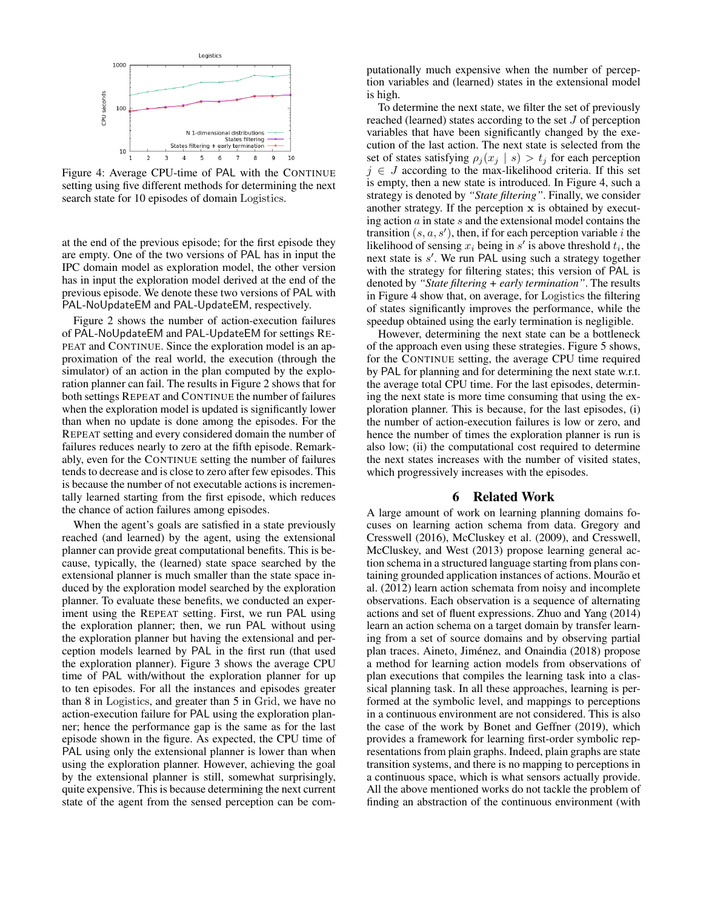

Figure 4: Average CPU-time of PAL with the CONTINUE setting using five different methods for determining the next search state for 10 episodes of domain Logistics.

at the end of the previous episode; for the first episode they are empty. One of the two versions of PAL has in input the IPC domain model as exploration model, the other version has in input the exploration model derived at the end of the previous episode. We denote these two versions of PAL with PAL-NoUpdateEM and PAL-UpdateEM, respectively.

Figure 2 shows the number of action-execution failures of PAL-NoUpdateEM and PAL-UpdateEM for settings RE-PEAT and CONTINUE. Since the exploration model is an approximation of the real world, the execution (through the simulator) of an action in the plan computed by the exploration planner can fail. The results in Figure 2 shows that for both settings REPEAT and CONTINUE the number of failures when the exploration model is updated is significantly lower than when no update is done among the episodes. For the REPEAT setting and every considered domain the number of failures reduces nearly to zero at the fifth episode. Remarkably, even for the CONTINUE setting the number of failures tends to decrease and is close to zero after few episodes. This is because the number of not executable actions is incrementally learned starting from the first episode, which reduces the chance of action failures among episodes.

When the agent's goals are satisfied in a state previously reached (and learned) by the agent, using the extensional planner can provide great computational benefits. This is because, typically, the (learned) state space searched by the extensional planner is much smaller than the state space induced by the exploration model searched by the exploration planner. To evaluate these benefits, we conducted an experiment using the REPEAT setting. First, we run PAL using the exploration planner; then, we run PAL without using the exploration planner but having the extensional and perception models learned by PAL in the first run (that used the exploration planner). Figure 3 shows the average CPU time of PAL with/without the exploration planner for up to ten episodes. For all the instances and episodes greater than 8 in Logistics, and greater than 5 in Grid, we have no action-execution failure for PAL using the exploration planner; hence the performance gap is the same as for the last episode shown in the figure. As expected, the CPU time of PAL using only the extensional planner is lower than when using the exploration planner. However, achieving the goal by the extensional planner is still, somewhat surprisingly, quite expensive. This is because determining the next current state of the agent from the sensed perception can be computationally much expensive when the number of perception variables and (learned) states in the extensional model is high.

To determine the next state, we filter the set of previously reached (learned) states according to the set J of perception variables that have been significantly changed by the execution of the last action. The next state is selected from the set of states satisfying  $\rho_j(x_j \mid s) > t_j$  for each perception  $j \in J$  according to the max-likelihood criteria. If this set is empty, then a new state is introduced. In Figure 4, such a strategy is denoted by *"State filtering"*. Finally, we consider another strategy. If the perception x is obtained by executing action  $\alpha$  in state  $s$  and the extensional model contains the transition  $(s, a, s')$ , then, if for each perception variable *i* the likelihood of sensing  $x_i$  being in  $s'$  is above threshold  $t_i$ , the next state is s'. We run PAL using such a strategy together with the strategy for filtering states; this version of PAL is denoted by *"State filtering + early termination"*. The results in Figure 4 show that, on average, for Logistics the filtering of states significantly improves the performance, while the speedup obtained using the early termination is negligible.

However, determining the next state can be a bottleneck of the approach even using these strategies. Figure 5 shows, for the CONTINUE setting, the average CPU time required by PAL for planning and for determining the next state w.r.t. the average total CPU time. For the last episodes, determining the next state is more time consuming that using the exploration planner. This is because, for the last episodes, (i) the number of action-execution failures is low or zero, and hence the number of times the exploration planner is run is also low; (ii) the computational cost required to determine the next states increases with the number of visited states, which progressively increases with the episodes.

#### 6 Related Work

A large amount of work on learning planning domains focuses on learning action schema from data. Gregory and Cresswell (2016), McCluskey et al. (2009), and Cresswell, McCluskey, and West (2013) propose learning general action schema in a structured language starting from plans containing grounded application instances of actions. Mourão et al. (2012) learn action schemata from noisy and incomplete observations. Each observation is a sequence of alternating actions and set of fluent expressions. Zhuo and Yang (2014) learn an action schema on a target domain by transfer learning from a set of source domains and by observing partial plan traces. Aineto, Jiménez, and Onaindia (2018) propose a method for learning action models from observations of plan executions that compiles the learning task into a classical planning task. In all these approaches, learning is performed at the symbolic level, and mappings to perceptions in a continuous environment are not considered. This is also the case of the work by Bonet and Geffner (2019), which provides a framework for learning first-order symbolic representations from plain graphs. Indeed, plain graphs are state transition systems, and there is no mapping to perceptions in a continuous space, which is what sensors actually provide. All the above mentioned works do not tackle the problem of finding an abstraction of the continuous environment (with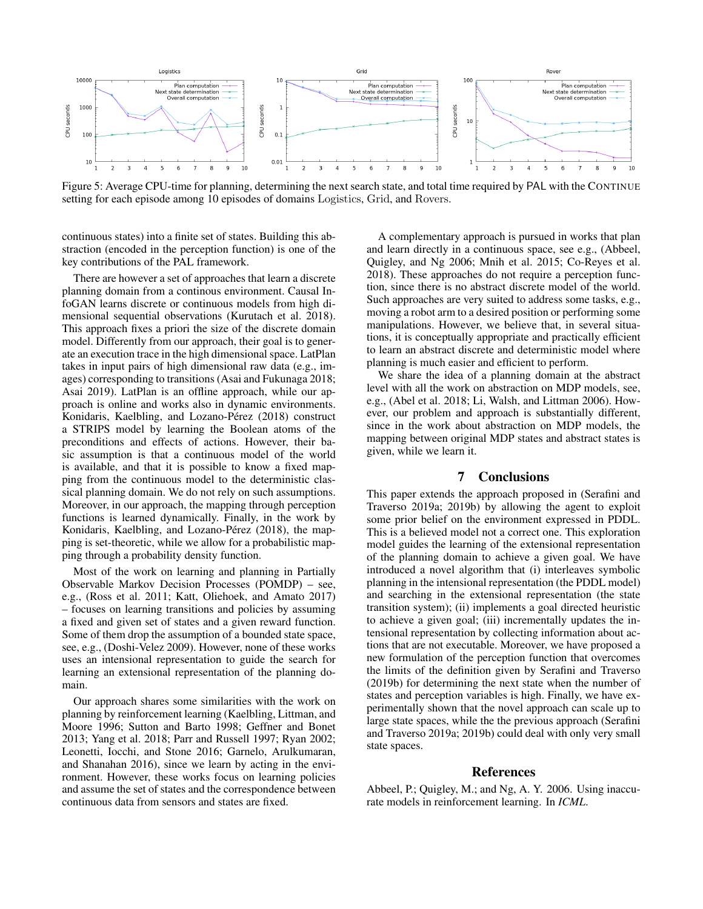

Figure 5: Average CPU-time for planning, determining the next search state, and total time required by PAL with the CONTINUE setting for each episode among 10 episodes of domains Logistics, Grid, and Rovers.

continuous states) into a finite set of states. Building this abstraction (encoded in the perception function) is one of the key contributions of the PAL framework.

There are however a set of approaches that learn a discrete planning domain from a continous environment. Causal InfoGAN learns discrete or continuous models from high dimensional sequential observations (Kurutach et al. 2018). This approach fixes a priori the size of the discrete domain model. Differently from our approach, their goal is to generate an execution trace in the high dimensional space. LatPlan takes in input pairs of high dimensional raw data (e.g., images) corresponding to transitions (Asai and Fukunaga 2018; Asai 2019). LatPlan is an offline approach, while our approach is online and works also in dynamic environments. Konidaris, Kaelbling, and Lozano-Pérez (2018) construct a STRIPS model by learning the Boolean atoms of the preconditions and effects of actions. However, their basic assumption is that a continuous model of the world is available, and that it is possible to know a fixed mapping from the continuous model to the deterministic classical planning domain. We do not rely on such assumptions. Moreover, in our approach, the mapping through perception functions is learned dynamically. Finally, in the work by Konidaris, Kaelbling, and Lozano-Pérez (2018), the mapping is set-theoretic, while we allow for a probabilistic mapping through a probability density function.

Most of the work on learning and planning in Partially Observable Markov Decision Processes (POMDP) – see, e.g., (Ross et al. 2011; Katt, Oliehoek, and Amato 2017) – focuses on learning transitions and policies by assuming a fixed and given set of states and a given reward function. Some of them drop the assumption of a bounded state space, see, e.g., (Doshi-Velez 2009). However, none of these works uses an intensional representation to guide the search for learning an extensional representation of the planning domain.

Our approach shares some similarities with the work on planning by reinforcement learning (Kaelbling, Littman, and Moore 1996; Sutton and Barto 1998; Geffner and Bonet 2013; Yang et al. 2018; Parr and Russell 1997; Ryan 2002; Leonetti, Iocchi, and Stone 2016; Garnelo, Arulkumaran, and Shanahan 2016), since we learn by acting in the environment. However, these works focus on learning policies and assume the set of states and the correspondence between continuous data from sensors and states are fixed.

A complementary approach is pursued in works that plan and learn directly in a continuous space, see e.g., (Abbeel, Quigley, and Ng 2006; Mnih et al. 2015; Co-Reyes et al. 2018). These approaches do not require a perception function, since there is no abstract discrete model of the world. Such approaches are very suited to address some tasks, e.g., moving a robot arm to a desired position or performing some manipulations. However, we believe that, in several situations, it is conceptually appropriate and practically efficient to learn an abstract discrete and deterministic model where planning is much easier and efficient to perform.

We share the idea of a planning domain at the abstract level with all the work on abstraction on MDP models, see, e.g., (Abel et al. 2018; Li, Walsh, and Littman 2006). However, our problem and approach is substantially different, since in the work about abstraction on MDP models, the mapping between original MDP states and abstract states is given, while we learn it.

#### 7 Conclusions

This paper extends the approach proposed in (Serafini and Traverso 2019a; 2019b) by allowing the agent to exploit some prior belief on the environment expressed in PDDL. This is a believed model not a correct one. This exploration model guides the learning of the extensional representation of the planning domain to achieve a given goal. We have introduced a novel algorithm that (i) interleaves symbolic planning in the intensional representation (the PDDL model) and searching in the extensional representation (the state transition system); (ii) implements a goal directed heuristic to achieve a given goal; (iii) incrementally updates the intensional representation by collecting information about actions that are not executable. Moreover, we have proposed a new formulation of the perception function that overcomes the limits of the definition given by Serafini and Traverso (2019b) for determining the next state when the number of states and perception variables is high. Finally, we have experimentally shown that the novel approach can scale up to large state spaces, while the the previous approach (Serafini and Traverso 2019a; 2019b) could deal with only very small state spaces.

#### References

Abbeel, P.; Quigley, M.; and Ng, A. Y. 2006. Using inaccurate models in reinforcement learning. In *ICML*.